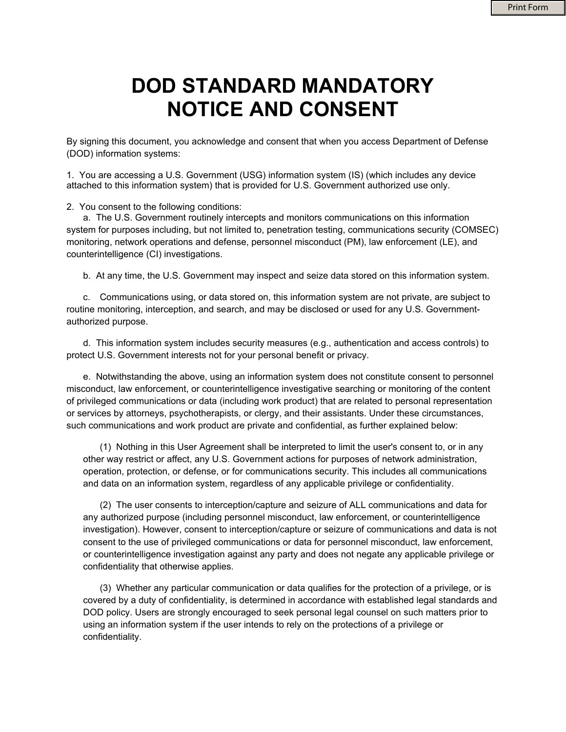## **DOD STANDARD MANDATORY NOTICE AND CONSENT**

By signing this document, you acknowledge and consent that when you access Department of Defense (DOD) information systems:

1. You are accessing a U.S. Government (USG) information system (IS) (which includes any device attached to this information system) that is provided for U.S. Government authorized use only.

2. You consent to the following conditions:

a. The U.S. Government routinely intercepts and monitors communications on this information system for purposes including, but not limited to, penetration testing, communications security (COMSEC) monitoring, network operations and defense, personnel misconduct (PM), law enforcement (LE), and counterintelligence (CI) investigations.

b. At any time, the U.S. Government may inspect and seize data stored on this information system.

c. Communications using, or data stored on, this information system are not private, are subject to routine monitoring, interception, and search, and may be disclosed or used for any U.S. Governmentauthorized purpose.

d. This information system includes security measures (e.g., authentication and access controls) to protect U.S. Government interests not for your personal benefit or privacy.

e. Notwithstanding the above, using an information system does not constitute consent to personnel misconduct, law enforcement, or counterintelligence investigative searching or monitoring of the content of privileged communications or data (including work product) that are related to personal representation or services by attorneys, psychotherapists, or clergy, and their assistants. Under these circumstances, such communications and work product are private and confidential, as further explained below:

(1) Nothing in this User Agreement shall be interpreted to limit the user's consent to, or in any other way restrict or affect, any U.S. Government actions for purposes of network administration, operation, protection, or defense, or for communications security. This includes all communications and data on an information system, regardless of any applicable privilege or confidentiality.

(2) The user consents to interception/capture and seizure of ALL communications and data for any authorized purpose (including personnel misconduct, law enforcement, or counterintelligence investigation). However, consent to interception/capture or seizure of communications and data is not consent to the use of privileged communications or data for personnel misconduct, law enforcement, or counterintelligence investigation against any party and does not negate any applicable privilege or confidentiality that otherwise applies.

(3) Whether any particular communication or data qualifies for the protection of a privilege, or is covered by a duty of confidentiality, is determined in accordance with established legal standards and DOD policy. Users are strongly encouraged to seek personal legal counsel on such matters prior to using an information system if the user intends to rely on the protections of a privilege or confidentiality.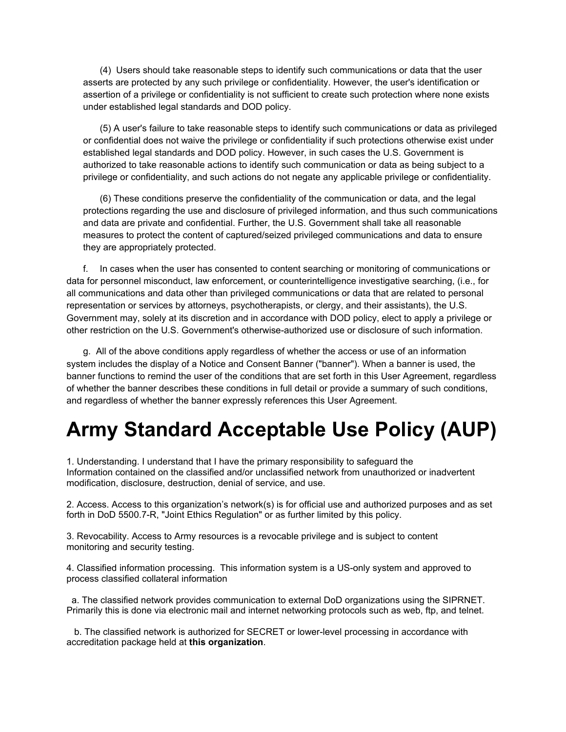(4) Users should take reasonable steps to identify such communications or data that the user asserts are protected by any such privilege or confidentiality. However, the user's identification or assertion of a privilege or confidentiality is not sufficient to create such protection where none exists under established legal standards and DOD policy.

(5) A user's failure to take reasonable steps to identify such communications or data as privileged or confidential does not waive the privilege or confidentiality if such protections otherwise exist under established legal standards and DOD policy. However, in such cases the U.S. Government is authorized to take reasonable actions to identify such communication or data as being subject to a privilege or confidentiality, and such actions do not negate any applicable privilege or confidentiality.

(6) These conditions preserve the confidentiality of the communication or data, and the legal protections regarding the use and disclosure of privileged information, and thus such communications and data are private and confidential. Further, the U.S. Government shall take all reasonable measures to protect the content of captured/seized privileged communications and data to ensure they are appropriately protected.

f. In cases when the user has consented to content searching or monitoring of communications or data for personnel misconduct, law enforcement, or counterintelligence investigative searching, (i.e., for all communications and data other than privileged communications or data that are related to personal representation or services by attorneys, psychotherapists, or clergy, and their assistants), the U.S. Government may, solely at its discretion and in accordance with DOD policy, elect to apply a privilege or other restriction on the U.S. Government's otherwise-authorized use or disclosure of such information.

g. All of the above conditions apply regardless of whether the access or use of an information system includes the display of a Notice and Consent Banner ("banner"). When a banner is used, the banner functions to remind the user of the conditions that are set forth in this User Agreement, regardless of whether the banner describes these conditions in full detail or provide a summary of such conditions, and regardless of whether the banner expressly references this User Agreement.

## **Army Standard Acceptable Use Policy (AUP)**

1. Understanding. I understand that I have the primary responsibility to safeguard the Information contained on the classified and/or unclassified network from unauthorized or inadvertent modification, disclosure, destruction, denial of service, and use.

2. Access. Access to this organization's network(s) is for official use and authorized purposes and as set forth in DoD 5500.7-R, "Joint Ethics Regulation" or as further limited by this policy.

3. Revocability. Access to Army resources is a revocable privilege and is subject to content monitoring and security testing.

4. Classified information processing. This information system is a US-only system and approved to process classified collateral information

 a. The classified network provides communication to external DoD organizations using the SIPRNET. Primarily this is done via electronic mail and internet networking protocols such as web, ftp, and telnet.

 b. The classified network is authorized for SECRET or lower-level processing in accordance with accreditation package held at **this organization**.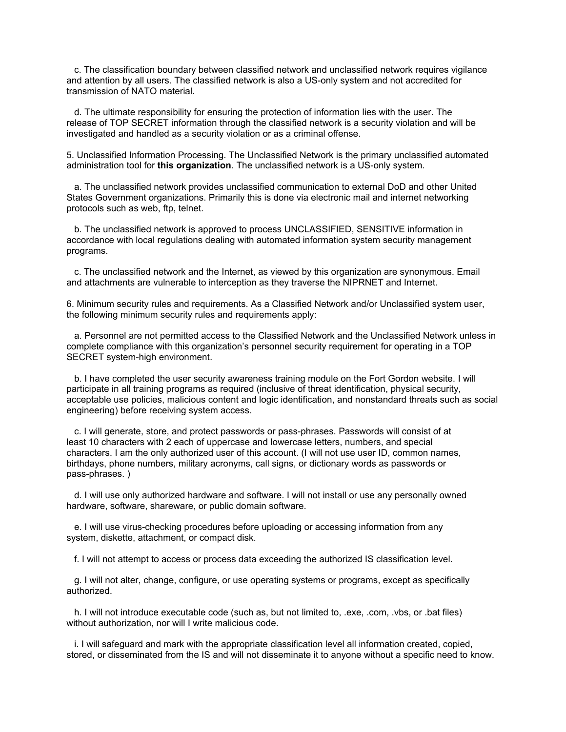c. The classification boundary between classified network and unclassified network requires vigilance and attention by all users. The classified network is also a US-only system and not accredited for transmission of NATO material.

 d. The ultimate responsibility for ensuring the protection of information lies with the user. The release of TOP SECRET information through the classified network is a security violation and will be investigated and handled as a security violation or as a criminal offense.

5. Unclassified Information Processing. The Unclassified Network is the primary unclassified automated administration tool for **this organization**. The unclassified network is a US-only system.

 a. The unclassified network provides unclassified communication to external DoD and other United States Government organizations. Primarily this is done via electronic mail and internet networking protocols such as web, ftp, telnet.

 b. The unclassified network is approved to process UNCLASSIFIED, SENSITIVE information in accordance with local regulations dealing with automated information system security management programs.

 c. The unclassified network and the Internet, as viewed by this organization are synonymous. Email and attachments are vulnerable to interception as they traverse the NIPRNET and Internet.

6. Minimum security rules and requirements. As a Classified Network and/or Unclassified system user, the following minimum security rules and requirements apply:

 a. Personnel are not permitted access to the Classified Network and the Unclassified Network unless in complete compliance with this organization's personnel security requirement for operating in a TOP SECRET system-high environment.

 b. I have completed the user security awareness training module on the Fort Gordon website. I will participate in all training programs as required (inclusive of threat identification, physical security, acceptable use policies, malicious content and logic identification, and nonstandard threats such as social engineering) before receiving system access.

 c. I will generate, store, and protect passwords or pass-phrases. Passwords will consist of at least 10 characters with 2 each of uppercase and lowercase letters, numbers, and special characters. I am the only authorized user of this account. (I will not use user ID, common names, birthdays, phone numbers, military acronyms, call signs, or dictionary words as passwords or pass-phrases. )

 d. I will use only authorized hardware and software. I will not install or use any personally owned hardware, software, shareware, or public domain software.

 e. I will use virus-checking procedures before uploading or accessing information from any system, diskette, attachment, or compact disk.

f. I will not attempt to access or process data exceeding the authorized IS classification level.

 g. I will not alter, change, configure, or use operating systems or programs, except as specifically authorized.

 h. I will not introduce executable code (such as, but not limited to, .exe, .com, .vbs, or .bat files) without authorization, nor will I write malicious code.

 i. I will safeguard and mark with the appropriate classification level all information created, copied, stored, or disseminated from the IS and will not disseminate it to anyone without a specific need to know.